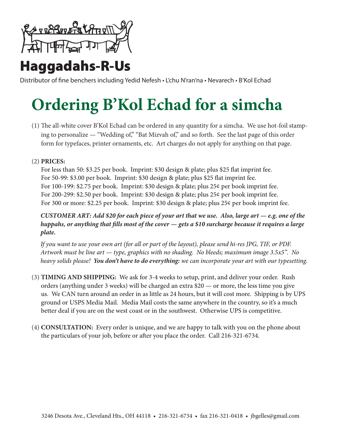

## Haggadahs-R-Us

Distributor of fine benchers including Yedid Nefesh • L'chu N'ran'na • Nevarech • B'Kol Echad

# **Ordering B'Kol Echad for a simcha**

ing to personalize — "Wedding of," "Bat Mizvah of," and so forth. See the last page of this order (1) The all-white cover B'Kol Echad can be ordered in any quantity for a simcha. We use hot-foil stampform for typefaces, printer ornaments, etc. Art charges do not apply for anything on that page.

### (2) **PRICES**:

For less than 50: \$3.25 per book. Imprint: \$30 design  $\&$  plate; plus \$25 flat imprint fee. For 50-99: \$3.00 per book. Imprint: \$30 design  $\&$  plate; plus \$25 flat imprint fee. For 100-199: \$2.75 per book. Imprint: \$30 design  $\&$  plate; plus 25¢ per book imprint fee. For 200-299: \$2.50 per book. Imprint: \$30 design  $\&$  plate; plus 25¢ per book imprint fee. For 300 or more: \$2.25 per book. Imprint: \$30 design  $\&$  plate; plus 25 $\&$  per book imprint fee.

*CUSTOMER ART: Add \$20 for each piece of your art that we use. Also, large art — e.g. one of the huppahs, or anything that fills most of the cover*  $-$  *gets a \$10 surcharge because it requires a large .plate*

*If you want to use your own art (for all or part of the layout), please send hi-res JPG, TIF, or PDF. Artwork must be line art — type, graphics with no shading. No bleeds; maximum image 3.5x5". No heavy solids please! You don't have to do everything: we can incorporate your art with our typesetting.* 

- (3) TIMING AND SHIPPING: We ask for 3-4 weeks to setup, print, and deliver your order. Rush orders (anything under 3 weeks) will be charged an extra  $$20$  — or more, the less time you give us. We CAN turn around an order in as little as 24 hours, but it will cost more. Shipping is by UPS ground or USPS Media Mail. Media Mail costs the same anywhere in the country, so it's a much better deal if you are on the west coast or in the southwest. Otherwise UPS is competitive.
- (4) **CONSULTATION:** Every order is unique, and we are happy to talk with you on the phone about the particulars of your job, before or after you place the order. Call 216-321-6734.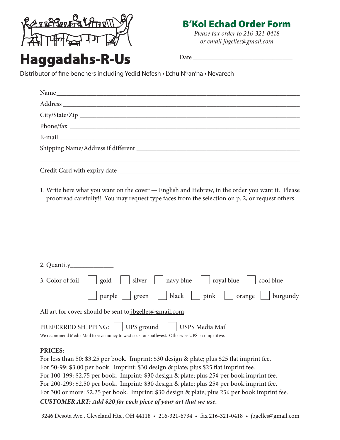

### **B'Kol Echad Order Form**

*Please fax order to 216-321-0418*  $or$  email *jbgelles*@gmail.com

## **Haggadahs-R-Us**

Date

Distributor of fine benchers including Yedid Nefesh • L'chu N'ran'na • Nevarech

| Name |  |
|------|--|
|      |  |
|      |  |
|      |  |
|      |  |
|      |  |
|      |  |
|      |  |

1. Write here what you want on the cover — English and Hebrew, in the order you want it. Please proofread carefully!! You may request type faces from the selection on p. 2, or request others.

| 3. Color of foil $\left \right $ gold $\left \right $ silver $\left \right $ navy blue $\left \right $ royal blue $\left \right $ cool blue |
|---------------------------------------------------------------------------------------------------------------------------------------------|
| purple     green     black     pink     orange     burgundy                                                                                 |
| All art for cover should be sent to jbgelles@gmail.com                                                                                      |
| PREFERRED SHIPPING:     UPS ground     USPS Media Mail                                                                                      |
| We recommend Media Mail to save money to west coast or southwest. Otherwise UPS is competitive.                                             |

#### **:PRICES**

For less than 50: \$3.25 per book. Imprint: \$30 design & plate; plus \$25 flat imprint fee. For 50-99: \$3.00 per book. Imprint: \$30 design & plate; plus \$25 flat imprint fee. For 100-199: \$2.75 per book. Imprint: \$30 design & plate; plus 25¢ per book imprint fee. For 200-299: \$2.50 per book. Imprint: \$30 design & plate; plus 25¢ per book imprint fee. For 300 or more: \$2.25 per book. Imprint: \$30 design & plate; plus 25¢ per book imprint fee. *CUSTOMER ART: Add \$20 for each piece of your art that we use.* 

3246 Desota Ave., Cleveland Hts., OH 44118 • 216-321-6734 • fax 216-321-0418 • jbgelles@gmail.com